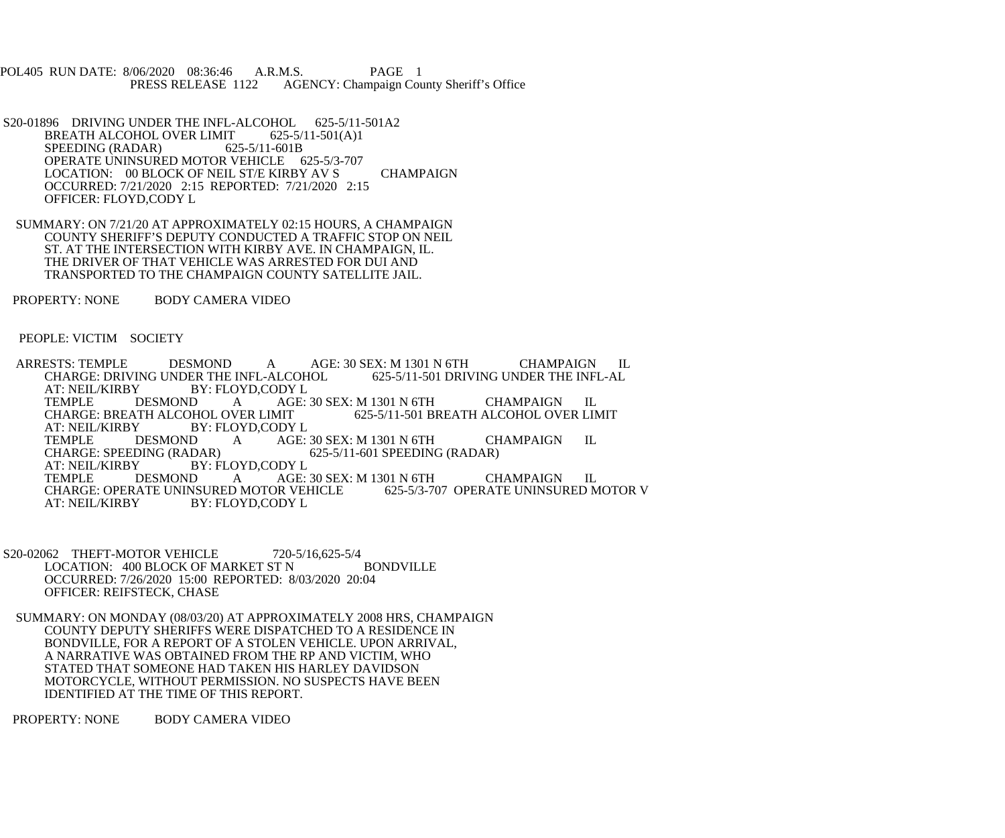POL405 RUN DATE: 8/06/2020 08:36:46 A.R.M.S. PAGE 1<br>PRESS RELEASE 1122 AGENCY: Champaign Cou AGENCY: Champaign County Sheriff's Office

- S20-01896 DRIVING UNDER THE INFL-ALCOHOL 625-5/11-501A2<br>BREATH ALCOHOL OVER LIMIT 625-5/11-501(A)1 BREATH ALCOHOL OVER LIMIT 625-5/<br>SPEEDING (RADAR) 625-5/11-601B SPEEDING (RADAR) OPERATE UNINSURED MOTOR VEHICLE 625-5/3-707 LOCATION: 00 BLOCK OF NEIL ST/E KIRBY AV S CHAMPAIGN OCCURRED: 7/21/2020 2:15 REPORTED: 7/21/2020 2:15 OFFICER: FLOYD,CODY L
- SUMMARY: ON 7/21/20 AT APPROXIMATELY 02:15 HOURS, A CHAMPAIGN COUNTY SHERIFF'S DEPUTY CONDUCTED A TRAFFIC STOP ON NEIL ST. AT THE INTERSECTION WITH KIRBY AVE. IN CHAMPAIGN, IL. THE DRIVER OF THAT VEHICLE WAS ARRESTED FOR DUI AND TRANSPORTED TO THE CHAMPAIGN COUNTY SATELLITE JAIL.
- PROPERTY: NONE BODY CAMERA VIDEO

PEOPLE: VICTIM SOCIETY

ARRESTS: TEMPLE DESMOND A AGE: 30 SEX: M 1301 N 6TH CHAMPAIGN IL<br>CHARGE: DRIVING UNDER THE INFL-ALCOHOL 625-5/11-501 DRIVING UNDER THE INFL-AL CHARGE: DRIVING UNDER THE INFL-ALCOHOL<br>AT: NEIL/KIRBY BY: FLOYD.CODY L AT: NEIL/KIRBY BY: FLOYD,CODY L<br>TEMPLE DESMOND A AGE: TEMPLE DESMOND A AGE: 30 SEX: M 1301 N 6TH CHAMPAIGN IL CHARGE: BREATH ALCOHOL OVER LIMIT 625-5/11-501 BREATH ALCOHOL OVER LIM CHARGE: BREATH ALCOHOL OVER LIMIT 625-5/11-501 BREATH ALCOHOL OVER LIMIT AT: NEIL/KIRBY BY: FLOYD,CODY L<br>TEMPLE DESMOND A AGE: TEMPLE DESMOND A AGE: 30 SEX: M 1301 N 6TH CHAMPAIGN IL<br>CHARGE: SPEEDING (RADAR) 625-5/11-601 SPEEDING (RADAR) CHARGE: SPEEDING (RADAR) 625-5/11-601 SPEEDING (RADAR)<br>AT: NEIL/KIRBY BY: FLOYD,CODY L AT: NEIL/KIRBY BY: FLOYD,CODY L<br>TEMPLE DESMOND A AGE: A AGE: 30 SEX: M 1301 N 6TH CHAMPAIGN IL<br>D MOTOR VEHICLE 625-5/3-707 OPERATE UNINSURED MOTOR V CHARGE: OPERATE UNINSURED MOTOR VEHICLE<br>AT: NEIL/KIRBY BY: FLOYD.CODY L BY: FLOYD,CODY L

- S20-02062 THEFT-MOTOR VEHICLE 720-5/16,625-5/4 LOCATION: 400 BLOCK OF MARKET ST N BONDVILLE OCCURRED: 7/26/2020 15:00 REPORTED: 8/03/2020 20:04 OFFICER: REIFSTECK, CHASE
- SUMMARY: ON MONDAY (08/03/20) AT APPROXIMATELY 2008 HRS, CHAMPAIGN COUNTY DEPUTY SHERIFFS WERE DISPATCHED TO A RESIDENCE IN BONDVILLE, FOR A REPORT OF A STOLEN VEHICLE. UPON ARRIVAL, A NARRATIVE WAS OBTAINED FROM THE RP AND VICTIM, WHO STATED THAT SOMEONE HAD TAKEN HIS HARLEY DAVIDSON MOTORCYCLE, WITHOUT PERMISSION. NO SUSPECTS HAVE BEEN IDENTIFIED AT THE TIME OF THIS REPORT.

PROPERTY: NONE BODY CAMERA VIDEO